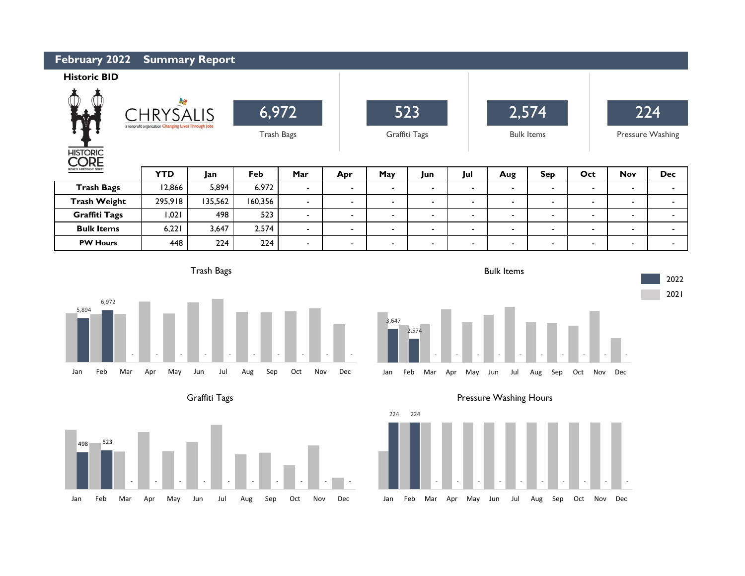| February 2022<br><b>Summary Report</b>                                                                               |            |         |         |                   |        |                |                          |                          |                   |                |                |                  |                          |  |
|----------------------------------------------------------------------------------------------------------------------|------------|---------|---------|-------------------|--------|----------------|--------------------------|--------------------------|-------------------|----------------|----------------|------------------|--------------------------|--|
| <b>Historic BID</b>                                                                                                  |            |         |         |                   |        |                |                          |                          |                   |                |                |                  |                          |  |
| $\frac{1}{\sqrt{2}}$<br><b>Direction</b><br><b>CHRYSALIS</b><br>a nonprofit organization Changing Lives Through Jobs |            |         | 6,972   |                   |        | 523            |                          |                          | 2,574             |                |                | 224              |                          |  |
|                                                                                                                      |            |         |         | <b>Trash Bags</b> |        | Graffiti Tags  |                          |                          | <b>Bulk Items</b> |                |                | Pressure Washing |                          |  |
| <b>HISTORIC</b><br>ORE                                                                                               |            |         |         |                   |        |                |                          |                          |                   |                |                |                  |                          |  |
| BUSINESS IMPROVEMENT DISTRICT                                                                                        | <b>YTD</b> | Jan     | Feb     | Mar               | Apr    | May            | Jun                      | Jul                      | Aug               | <b>Sep</b>     | Oct            | <b>Nov</b>       | <b>Dec</b>               |  |
| <b>Trash Bags</b>                                                                                                    | 12,866     | 5,894   | 6,972   | $\blacksquare$    | $\sim$ | $\blacksquare$ | $\overline{\phantom{a}}$ | $\blacksquare$           | $\blacksquare$    | $\blacksquare$ | $\blacksquare$ | $\sim$           | $\blacksquare$           |  |
| <b>Trash Weight</b>                                                                                                  | 295,918    | 135,562 | 160,356 | $\blacksquare$    | -      | $\blacksquare$ | ٠                        | $\overline{\phantom{a}}$ | $\blacksquare$    | $\blacksquare$ | $\blacksquare$ | $\blacksquare$   | $\overline{\phantom{a}}$ |  |
| <b>Graffiti Tags</b>                                                                                                 | 1,021      | 498     | 523     | $\blacksquare$    | $\sim$ | $\blacksquare$ | $\overline{\phantom{a}}$ | $\blacksquare$           | $\blacksquare$    | $\blacksquare$ | $\blacksquare$ | $\blacksquare$   | $\overline{\phantom{a}}$ |  |
|                                                                                                                      |            |         |         |                   |        |                |                          |                          |                   |                |                |                  |                          |  |
| <b>Bulk Items</b>                                                                                                    | 6,221      | 3,647   | 2,574   | $\sim$            | $\sim$ | $\blacksquare$ | $\blacksquare$           | $\sim$                   | $\blacksquare$    | $\blacksquare$ | $\blacksquare$ | $\blacksquare$   | $\blacksquare$           |  |
| <b>PW Hours</b>                                                                                                      | 448        | 224     | 224     |                   | $\sim$ | ۰.             | $\blacksquare$           | $\blacksquare$           | $\blacksquare$    | $\blacksquare$ | $\blacksquare$ | $\blacksquare$   | $\blacksquare$           |  |

3,647

2,574

Trash Bags



Graffiti Tags





Jan Feb Mar Apr May Jun Jul Aug Sep Oct Nov Dec



Bulk Items

2022 2021

- - - - - - - - - -